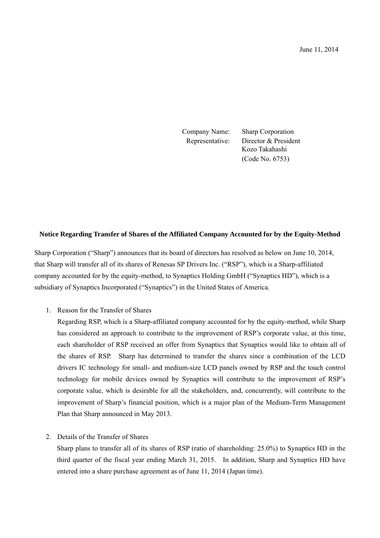Company Name: Sharp Corporation Representative: Director & President Kozo Takahashi (Code No. 6753)

## **Notice Regarding Transfer of Shares of the Affiliated Company Accounted for by the Equity-Method**

Sharp Corporation ("Sharp") announces that its board of directors has resolved as below on June 10, 2014, that Sharp will transfer all of its shares of Renesas SP Drivers Inc. ("RSP"), which is a Sharp-affiliated company accounted for by the equity-method, to Synaptics Holding GmbH ("Synaptics HD"), which is a subsidiary of Synaptics Incorporated ("Synaptics") in the United States of America.

1. Reason for the Transfer of Shares

Regarding RSP, which is a Sharp-affiliated company accounted for by the equity-method, while Sharp has considered an approach to contribute to the improvement of RSP's corporate value, at this time, each shareholder of RSP received an offer from Synaptics that Synaptics would like to obtain all of the shares of RSP. Sharp has determined to transfer the shares since a combination of the LCD drivers IC technology for small- and medium-size LCD panels owned by RSP and the touch control technology for mobile devices owned by Synaptics will contribute to the improvement of RSP's corporate value, which is desirable for all the stakeholders, and, concurrently, will contribute to the improvement of Sharp's financial position, which is a major plan of the Medium-Term Management Plan that Sharp announced in May 2013.

2. Details of the Transfer of Shares

Sharp plans to transfer all of its shares of RSP (ratio of shareholding: 25.0%) to Synaptics HD in the third quarter of the fiscal year ending March 31, 2015. In addition, Sharp and Synaptics HD have entered into a share purchase agreement as of June 11, 2014 (Japan time).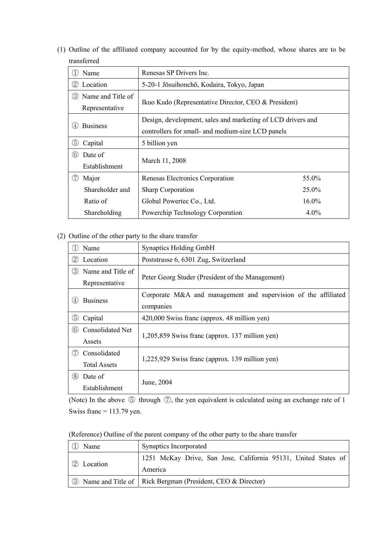(1) Outline of the affiliated company accounted for by the equity-method, whose shares are to be transferred

| Name                                             | Renesas SP Drivers Inc.                                     |          |
|--------------------------------------------------|-------------------------------------------------------------|----------|
| (2)<br>Location                                  | 5-20-1 Jōsuihonchō, Kodaira, Tokyo, Japan                   |          |
| Name and Title of<br>(3)<br>Representative       | Ikuo Kudo (Representative Director, CEO & President)        |          |
|                                                  | Design, development, sales and marketing of LCD drivers and |          |
| <b>Business</b><br>(4)                           | controllers for small- and medium-size LCD panels           |          |
| (5)<br>Capital                                   | 5 billion yen                                               |          |
| Date of<br>(6)                                   | March 11, 2008                                              |          |
| Establishment                                    |                                                             |          |
| (7)<br>Major                                     | Renesas Electronics Corporation                             | 55.0%    |
| Shareholder and                                  | <b>Sharp Corporation</b>                                    | $25.0\%$ |
| Ratio of                                         | Global Powertec Co., Ltd.                                   | $16.0\%$ |
| Powerchip Technology Corporation<br>Shareholding |                                                             | $4.0\%$  |

## (2) Outline of the other party to the share transfer

|               | Name                    | <b>Synaptics Holding GmbH</b>                                  |  |
|---------------|-------------------------|----------------------------------------------------------------|--|
| (2)           | Location                | Poststrasse 6, 6301 Zug, Switzerland                           |  |
| $\circled{3}$ | Name and Title of       |                                                                |  |
|               | Representative          | Peter Georg Studer (President of the Management)               |  |
| (4)           | <b>Business</b>         | Corporate M&A and management and supervision of the affiliated |  |
|               |                         | companies                                                      |  |
| (5)           | Capital                 | 420,000 Swiss franc (approx. 48 million yen)                   |  |
| $\circled{6}$ | <b>Consolidated Net</b> | 1,205,859 Swiss franc (approx. 137 million yen)                |  |
|               | Assets                  |                                                                |  |
| (7)           | Consolidated            | 1,225,929 Swiss franc (approx. 139 million yen)                |  |
|               | <b>Total Assets</b>     |                                                                |  |
| (8)           | Date of                 | June, 2004                                                     |  |
|               | Establishment           |                                                                |  |

(Note) In the above ⑤ through ⑦, the yen equivalent is calculated using an exchange rate of 1 Swiss franc  $= 113.79$  yen.

(Reference) Outline of the parent company of the other party to the share transfer

| Name                            | Synaptics Incorporated                                         |
|---------------------------------|----------------------------------------------------------------|
| $\langle 2 \rangle$<br>Location | 1251 McKay Drive, San Jose, California 95131, United States of |
|                                 | America                                                        |
|                                 | 3 Name and Title of   Rick Bergman (President, CEO & Director) |